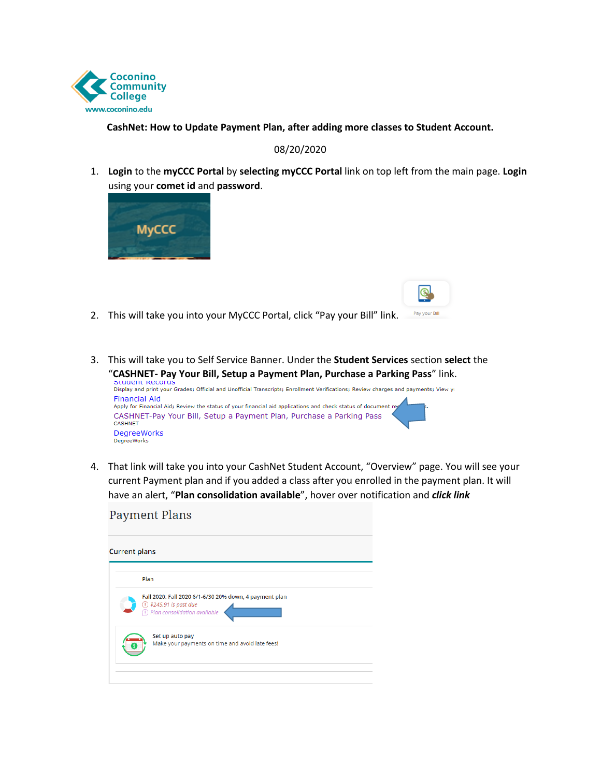

### **CashNet: How to Update Payment Plan, after adding more classes to Student Account.**

#### 08/20/2020

1. **Login** to the **myCCC Portal** by **selecting myCCC Portal** link on top left from the main page. **Login**  using your **comet id** and **password**.



 $D_1$ 

- Pay your Bill 2. This will take you into your MyCCC Portal, click "Pay your Bill" link.
- 3. This will take you to Self Service Banner. Under the **Student Services** section **select** the



 4. That link will take you into your CashNet Student Account, "Overview" page. You will see your current Payment plan and if you added a class after you enrolled in the payment plan. It will have an alert, "**Plan consolidation available**", hover over notification and *click link* 

| <b>Current plans</b>                                                                                                                       |
|--------------------------------------------------------------------------------------------------------------------------------------------|
| Plan                                                                                                                                       |
| Fall 2020: Fall 2020 6/1-6/30 20% down, 4 payment plan<br>$\bigcirc$ \$245.91 is past due<br>$\overline{1}$ ) Plan consolidation available |
| Set up auto pay<br>Make your payments on time and avoid late fees!                                                                         |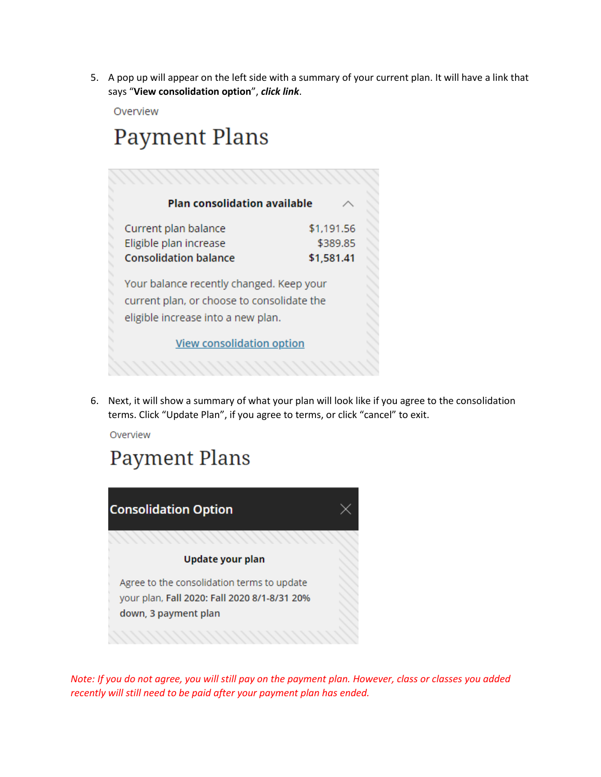5. A pop up will appear on the left side with a summary of your current plan. It will have a link that says "**View consolidation option**", *click link*.

Overview

# **Payment Plans**

| <b>Plan consolidation available</b>                                                                                          |            |  |  |  |  |  |
|------------------------------------------------------------------------------------------------------------------------------|------------|--|--|--|--|--|
| Current plan balance                                                                                                         | \$1,191.56 |  |  |  |  |  |
| Eligible plan increase                                                                                                       | \$389.85   |  |  |  |  |  |
| <b>Consolidation balance</b>                                                                                                 | \$1,581.41 |  |  |  |  |  |
| Your balance recently changed. Keep your<br>current plan, or choose to consolidate the<br>eligible increase into a new plan. |            |  |  |  |  |  |
| <b>View consolidation option</b>                                                                                             |            |  |  |  |  |  |
|                                                                                                                              |            |  |  |  |  |  |

6. Next, it will show a summary of what your plan will look like if you agree to the consolidation terms. Click "Update Plan", if you agree to terms, or click "cancel" to exit.

Overview

## **Payment Plans**



*Note: If you do not agree, you will still pay on the payment plan. However, class or classes you added recently will still need to be paid after your payment plan has ended.*